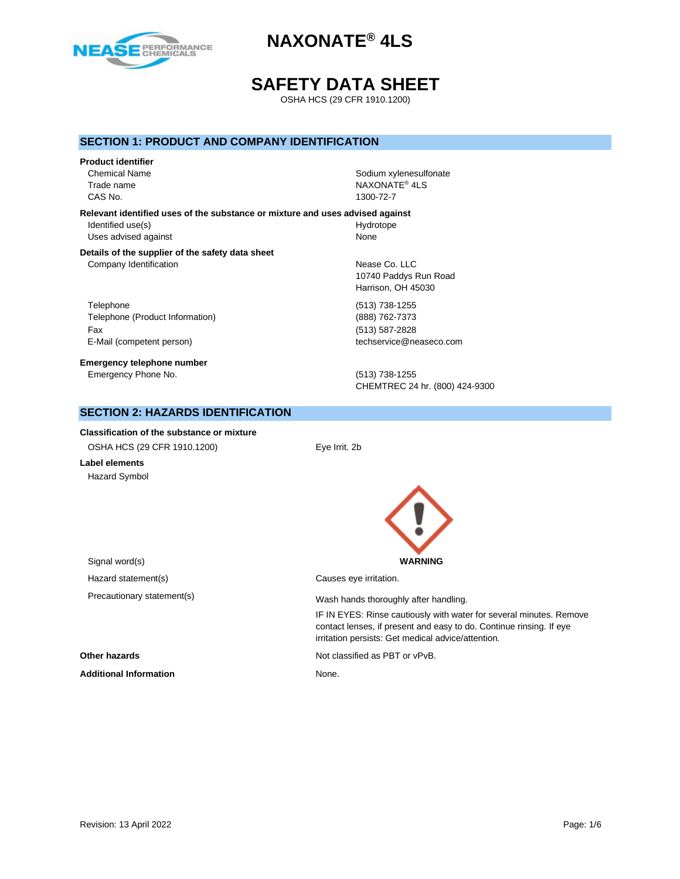

## **SAFETY DATA SHEET**

OSHA HCS (29 CFR 1910.1200)

### **SECTION 1: PRODUCT AND COMPANY IDENTIFICATION**

# **Product identifier** CAS No. 1300-72-7

Chemical Name Sodium xylenesulfonate Chemical Name Sodium xylenesulfonate Trade name NAXONATE® 4LS

#### **Relevant identified uses of the substance or mixture and uses advised against**

Identified use(s) and the extent of the Hydrotope Hydrotope Uses advised against None

## **Details of the supplier of the safety data sheet** Company Identification **Nease Co.** LLC

Telephone (513) 738-1255 Telephone (Product Information) (888) 762-7373 Fax (513) 587-2828 E-Mail (competent person) example the techservice@neaseco.com

**Emergency telephone number** Emergency Phone No. (513) 738-1255

10740 Paddys Run Road Harrison, OH 45030

CHEMTREC 24 hr. (800) 424-9300

## **SECTION 2: HAZARDS IDENTIFICATION**

#### **Classification of the substance or mixture**

OSHA HCS (29 CFR 1910.1200) Eye Irrit. 2b

**Label elements** Hazard Symbol



Hazard statement(s) example a control control causes eye irritation.

Precautionary statement(s) example a wash hands thoroughly after handling.

IF IN EYES: Rinse cautiously with water for several minutes. Remove contact lenses, if present and easy to do. Continue rinsing. If eye irritation persists: Get medical advice/attention.

**Other hazards Other hazards Not classified as PBT or vPvB.** 

Additional Information **None.** None.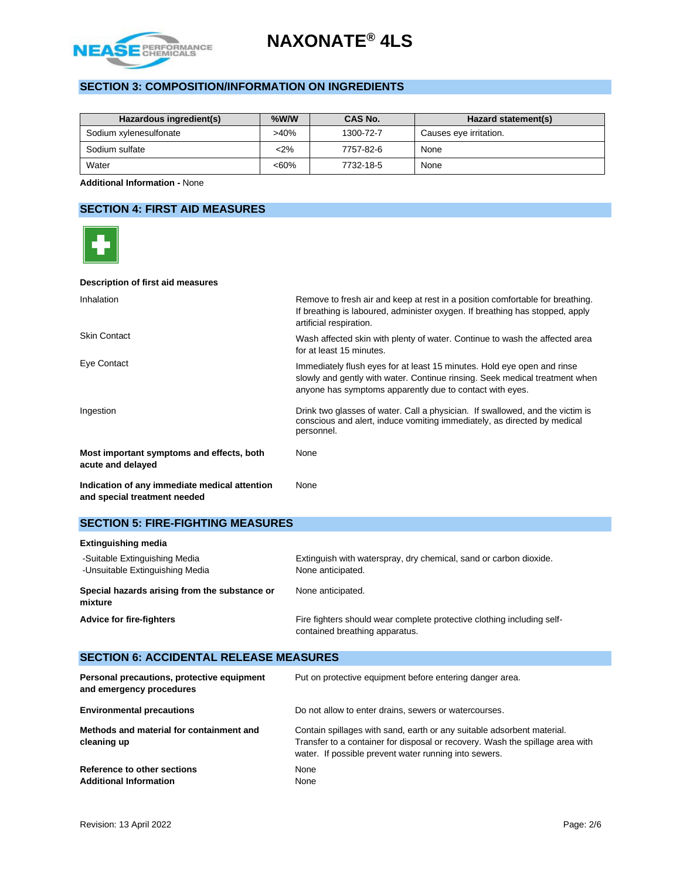

## **SECTION 3: COMPOSITION/INFORMATION ON INGREDIENTS**

| Hazardous ingredient(s) | $%$ W/W | CAS No.   | Hazard statement(s)    |
|-------------------------|---------|-----------|------------------------|
| Sodium xylenesulfonate  | $>40\%$ | 1300-72-7 | Causes eye irritation. |
| Sodium sulfate          | $2\%$   | 7757-82-6 | None                   |
| Water                   | $<60\%$ | 7732-18-5 | None                   |

**Additional Information -** None

## **SECTION 4: FIRST AID MEASURES**



#### **Description of first aid measures**

| Inhalation                                                                    | Remove to fresh air and keep at rest in a position comfortable for breathing.<br>If breathing is laboured, administer oxygen. If breathing has stopped, apply<br>artificial respiration.                           |
|-------------------------------------------------------------------------------|--------------------------------------------------------------------------------------------------------------------------------------------------------------------------------------------------------------------|
| <b>Skin Contact</b>                                                           | Wash affected skin with plenty of water. Continue to wash the affected area<br>for at least 15 minutes.                                                                                                            |
| Eye Contact                                                                   | Immediately flush eyes for at least 15 minutes. Hold eye open and rinse<br>slowly and gently with water. Continue rinsing. Seek medical treatment when<br>anyone has symptoms apparently due to contact with eyes. |
| Ingestion                                                                     | Drink two glasses of water. Call a physician. If swallowed, and the victim is<br>conscious and alert, induce vomiting immediately, as directed by medical<br>personnel.                                            |
| Most important symptoms and effects, both<br>acute and delayed                | None                                                                                                                                                                                                               |
| Indication of any immediate medical attention<br>and special treatment needed | None                                                                                                                                                                                                               |

## **SECTION 5: FIRE-FIGHTING MEASURES**

| <b>Extinguishing media</b>                                       |                                                                                                          |
|------------------------------------------------------------------|----------------------------------------------------------------------------------------------------------|
| -Suitable Extinguishing Media<br>-Unsuitable Extinguishing Media | Extinguish with waterspray, dry chemical, sand or carbon dioxide.<br>None anticipated.                   |
| Special hazards arising from the substance or<br>mixture         | None anticipated.                                                                                        |
| <b>Advice for fire-fighters</b>                                  | Fire fighters should wear complete protective clothing including self-<br>contained breathing apparatus. |

## **SECTION 6: ACCIDENTAL RELEASE MEASURES**

| Personal precautions, protective equipment<br>and emergency procedures | Put on protective equipment before entering danger area.                                                                                                                                                         |
|------------------------------------------------------------------------|------------------------------------------------------------------------------------------------------------------------------------------------------------------------------------------------------------------|
| <b>Environmental precautions</b>                                       | Do not allow to enter drains, sewers or watercourses.                                                                                                                                                            |
| Methods and material for containment and<br>cleaning up                | Contain spillages with sand, earth or any suitable adsorbent material.<br>Transfer to a container for disposal or recovery. Wash the spillage area with<br>water. If possible prevent water running into sewers. |
| Reference to other sections<br><b>Additional Information</b>           | None<br>None                                                                                                                                                                                                     |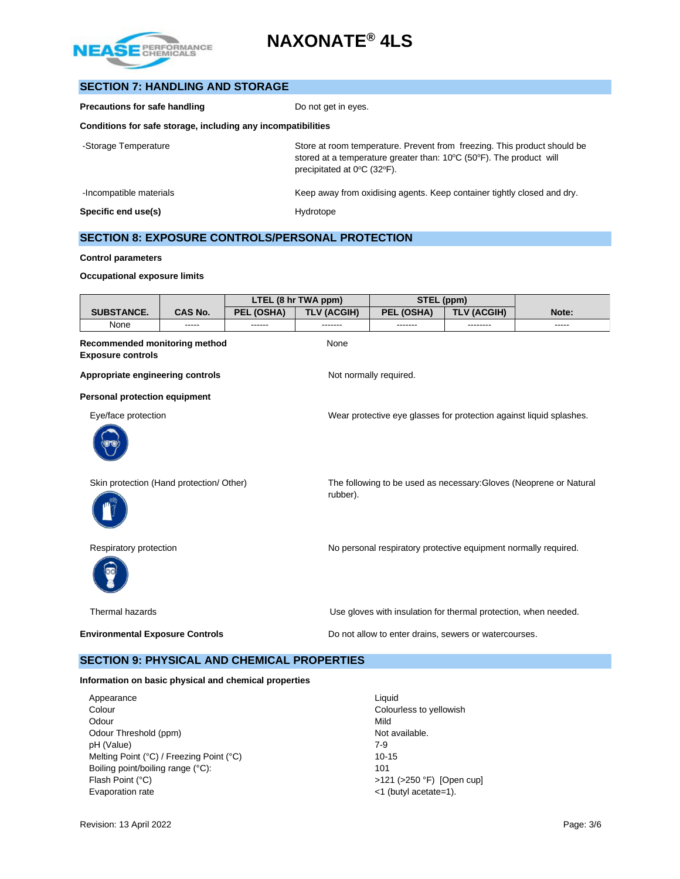

| <b>SECTION 7: HANDLING AND STORAGE</b>                       |                                                                                                                                                                                                                          |
|--------------------------------------------------------------|--------------------------------------------------------------------------------------------------------------------------------------------------------------------------------------------------------------------------|
| <b>Precautions for safe handling</b>                         | Do not get in eyes.                                                                                                                                                                                                      |
| Conditions for safe storage, including any incompatibilities |                                                                                                                                                                                                                          |
| -Storage Temperature                                         | Store at room temperature. Prevent from freezing. This product should be<br>stored at a temperature greater than: $10^{\circ}$ C (50 $^{\circ}$ F). The product will<br>precipitated at $0^{\circ}$ C (32 $^{\circ}$ F). |
| -Incompatible materials                                      | Keep away from oxidising agents. Keep container tightly closed and dry.                                                                                                                                                  |
| Specific end use(s)                                          | Hydrotope                                                                                                                                                                                                                |

### **SECTION 8: EXPOSURE CONTROLS/PERSONAL PROTECTION**

#### **Control parameters**

#### **Occupational exposure limits**

|                                                           |         |            | LTEL (8 hr TWA ppm) | STEL (ppm)             |                                                                     |       |
|-----------------------------------------------------------|---------|------------|---------------------|------------------------|---------------------------------------------------------------------|-------|
| <b>SUBSTANCE.</b>                                         | CAS No. | PEL (OSHA) | <b>TLV (ACGIH)</b>  | PEL (OSHA)             | <b>TLV (ACGIH)</b>                                                  | Note: |
| None                                                      | -----   | ------     | -------             | -------                | --------                                                            | ----- |
| Recommended monitoring method<br><b>Exposure controls</b> |         |            | None                |                        |                                                                     |       |
| Appropriate engineering controls                          |         |            |                     | Not normally required. |                                                                     |       |
| <b>Personal protection equipment</b>                      |         |            |                     |                        |                                                                     |       |
| Eye/face protection                                       |         |            |                     |                        | Wear protective eye glasses for protection against liquid splashes. |       |
| Skin protection (Hand protection/ Other)                  |         |            | rubber).            |                        | The following to be used as necessary: Gloves (Neoprene or Natural  |       |
| Respiratory protection                                    |         |            |                     |                        | No personal respiratory protective equipment normally required.     |       |
| Thermal hazards                                           |         |            |                     |                        | Use gloves with insulation for thermal protection, when needed.     |       |
| <b>Environmental Exposure Controls</b>                    |         |            |                     |                        | Do not allow to enter drains, sewers or watercourses.               |       |
| <b>SECTION 9: PHYSICAL AND CHEMICAL PROPERTIES</b>        |         |            |                     |                        |                                                                     |       |
| Information on basic physical and chemical properties     |         |            |                     |                        |                                                                     |       |

Appearance Liquid<br>
Colour Colour Colour Odour Mild Odour Threshold (ppm) Not available. pH (Value) 7-9 Melting Point (°C) / Freezing Point (°C) 10-15 Boiling point/boiling range (°C): 101 Flash Point (°C)  $>121$  (>250 °F) [Open cup] Evaporation rate  $\leq 1$  (butyl acetate=1).

Colourless to yellowish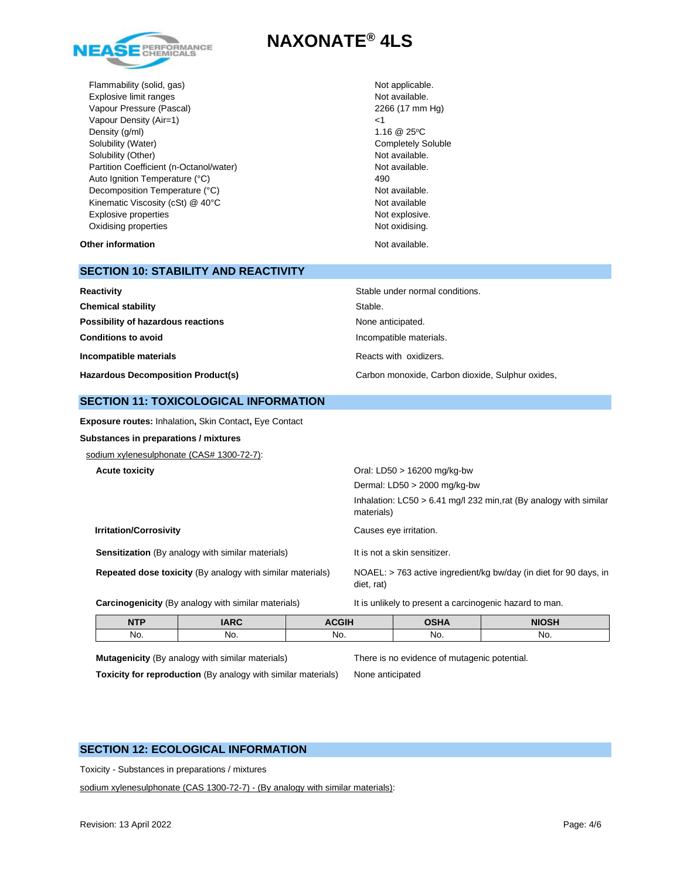

Flammability (solid, gas) Not applicable. Explosive limit ranges **Not available**. Vapour Pressure (Pascal) 2266 (17 mm Hg) Vapour Density (Air=1) <1 Density  $(g/m)$  1.16  $@$  25°C Solubility (Water) **Completely Soluble** Completely Soluble Solubility (Other) Not available. Partition Coefficient (n-Octanol/water) Not available. Auto Ignition Temperature (°C) 490 Decomposition Temperature (°C) Not available. Kinematic Viscosity (cSt) @ 40°C Not available Explosive properties Not explosive. Oxidising properties Not oxidising.

#### **Other information** Not available.

## **SECTION 10: STABILITY AND REACTIVITY**

| Stable under normal conditions.<br>Reactivity |                                                  |
|-----------------------------------------------|--------------------------------------------------|
| <b>Chemical stability</b>                     | Stable.                                          |
| Possibility of hazardous reactions            | None anticipated.                                |
| <b>Conditions to avoid</b>                    | Incompatible materials.                          |
| Incompatible materials                        | Reacts with oxidizers.                           |
| <b>Hazardous Decomposition Product(s)</b>     | Carbon monoxide, Carbon dioxide, Sulphur oxides, |

#### **SECTION 11: TOXICOLOGICAL INFORMATION**

**Exposure routes:** Inhalation**,** Skin Contact**,** Eye Contact

**Substances in preparations / mixtures**

sodium xylenesulphonate (CAS# 1300-72-7):

**Acute toxicity** Oral: LD50 > 16200 mg/kg-bw

| , , , , , , , , , , , , , , , , ,                                 | 5.001                                                                              |
|-------------------------------------------------------------------|------------------------------------------------------------------------------------|
|                                                                   | Dermal: $LD50 > 2000$ mg/kg-bw                                                     |
|                                                                   | Inhalation: $LC50 > 6.41$ mg/l 232 min, rat (By analogy with similar<br>materials) |
| <b>Irritation/Corrosivity</b>                                     | Causes eye irritation.                                                             |
| <b>Sensitization</b> (By analogy with similar materials)          | It is not a skin sensitizer.                                                       |
| <b>Repeated dose toxicity (By analogy with similar materials)</b> | NOAEL: > 763 active ingredient/kg bw/day (in diet for 90 days, in<br>diet, rat)    |
|                                                                   |                                                                                    |

Carcinogenicity (By analogy with similar materials) It is unlikely to present a carcinogenic hazard to man.

| <b>NTP</b> | <b>IARC</b> | <b>ACGIH</b> | <b>OSHA</b> | <b>NIOSH</b> |
|------------|-------------|--------------|-------------|--------------|
| NO.        | No.         | No.          | No.         | No.          |

**Mutagenicity** (By analogy with similar materials) There is no evidence of mutagenic potential.

**Toxicity for reproduction** (By analogy with similar materials) None anticipated

#### **SECTION 12: ECOLOGICAL INFORMATION**

Toxicity - Substances in preparations / mixtures

sodium xylenesulphonate (CAS 1300-72-7) - (By analogy with similar materials):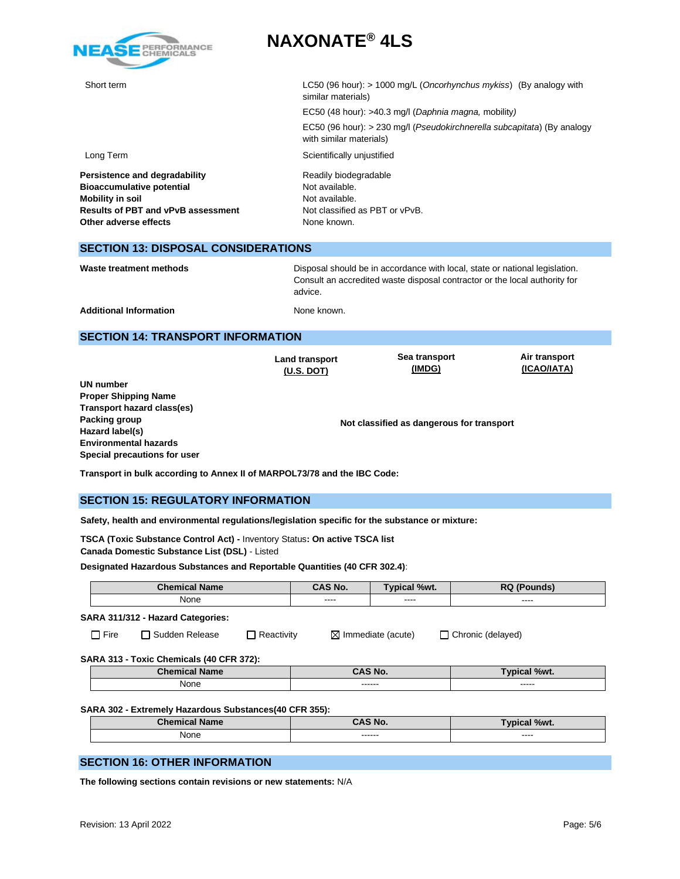

Short term LC50 (96 hour): > 1000 mg/L (*Oncorhynchus mykiss*) (By analogy with similar materials) EC50 (48 hour): >40.3 mg/l (*Daphnia magna,* mobility*)*  EC50 (96 hour): > 230 mg/l (*Pseudokirchnerella subcapitata*) (By analogy with similar materials) Long Term Scientifically unjustified **Persistence and degradability** Readily biodegradable Bioaccumulative potential **Bioaccumulative potential** Not available. **Mobility in soil**<br> **Results of PBT and vPvB assessment** Not classified as PBT or vPvB. **Results of PBT and vPvB assessment Other adverse effects** None known.

### **SECTION 13: DISPOSAL CONSIDERATIONS**

Waste treatment methods **Disposal should be in accordance with local**, state or national legislation. Consult an accredited waste disposal contractor or the local authority for advice.

Additional Information **None known.** None known.

### **SECTION 14: TRANSPORT INFORMATION**

|                              | <b>Land transport</b><br>$(U.S.$ DOT) | Sea transport<br>(IMDG)                   | Air transport<br>(ICAO/IATA) |
|------------------------------|---------------------------------------|-------------------------------------------|------------------------------|
| UN number                    |                                       |                                           |                              |
| <b>Proper Shipping Name</b>  |                                       |                                           |                              |
| Transport hazard class(es)   |                                       |                                           |                              |
| Packing group                |                                       | Not classified as dangerous for transport |                              |
| Hazard label(s)              |                                       |                                           |                              |
| <b>Environmental hazards</b> |                                       |                                           |                              |
| Special precautions for user |                                       |                                           |                              |

**Transport in bulk according to Annex II of MARPOL73/78 and the IBC Code:** 

## **SECTION 15: REGULATORY INFORMATION**

**Safety, health and environmental regulations/legislation specific for the substance or mixture:**

**TSCA (Toxic Substance Control Act) -** Inventory Status**: On active TSCA list Canada Domestic Substance List (DSL)** - Listed

**Designated Hazardous Substances and Reportable Quantities (40 CFR 302.4)**:

| ----<br>----                                                              |  |  |  |
|---------------------------------------------------------------------------|--|--|--|
|                                                                           |  |  |  |
|                                                                           |  |  |  |
| $\Box$ Reactivity<br>$\boxtimes$ Immediate (acute)<br>□ Chronic (delayed) |  |  |  |
|                                                                           |  |  |  |
| CAS No.<br>Typical %wt.                                                   |  |  |  |
| ------<br>-----                                                           |  |  |  |
|                                                                           |  |  |  |

**SARA 302 - Extremely Hazardous Substances(40 CFR 355):**

| .<br>P <sub>1</sub><br>----<br>Name<br>- 21 | <b>CACNIA</b><br>w. | %wt.<br>$\sim$ |
|---------------------------------------------|---------------------|----------------|
| None<br>$\sim$ $\sim$ $\sim$                | -------<br>-------- | -----<br>_____ |

#### **SECTION 16: OTHER INFORMATION**

**The following sections contain revisions or new statements:** N/A